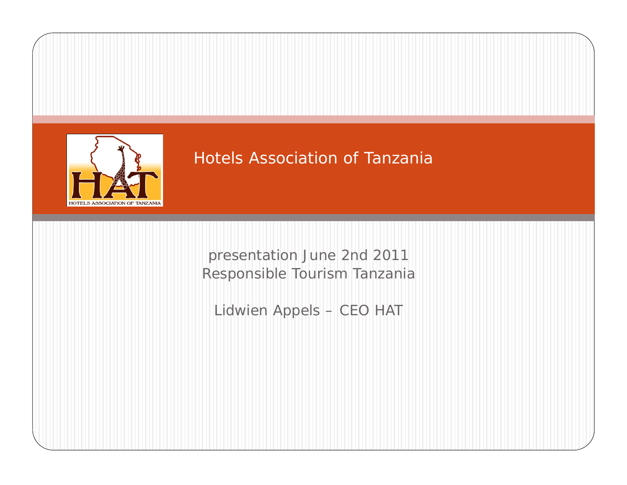

presentation June 2nd 2011 Responsible Tourism Tanzania

Lidwien Appels – CEO HAT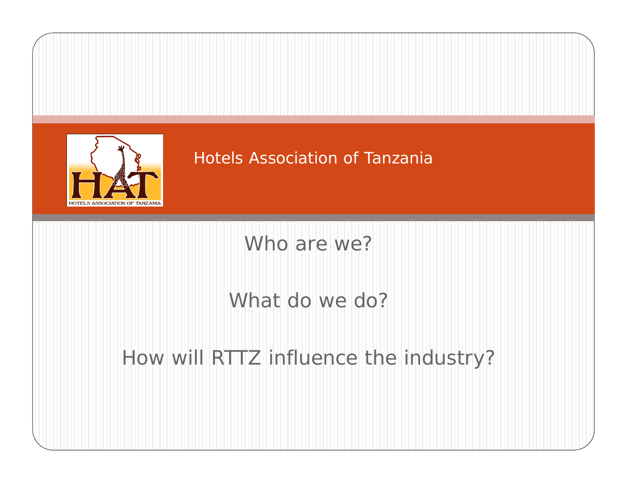

Who are we?

# What do we do?

# How will RTTZ influence the industry?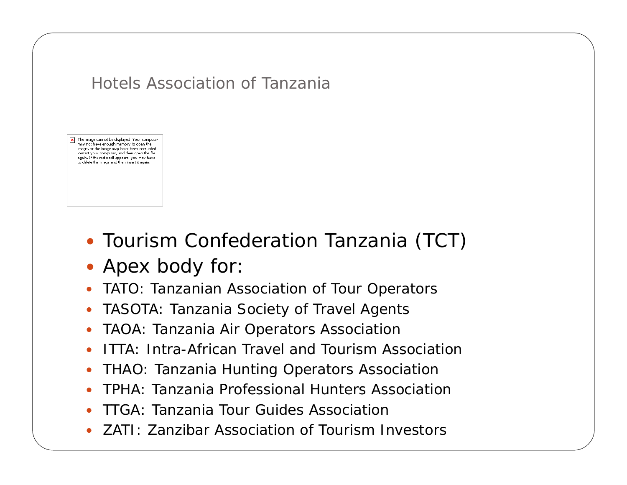The image cannot be displayed. Your computer may not have enough memory to open the image, or the image may have been corrupted. Restart your computer, and then open the file again. If the red x still appears, you may have to delete the image and then insert it again.

- Tourism Confederation Tanzania (TCT)
- Apex body for:
- $\bullet$ TATO: Tanzanian Association of Tour Operators
- $\bullet$ TASOTA: Tanzania Society of Travel Agents
- $\bullet$ TAOA: Tanzania Air Operators Association
- $\bullet$ ITTA: Intra-African Travel and Tourism Association
- $\bullet$ THAO: Tanzania Hunting Operators Association
- $\bullet$ TPHA: Tanzania Professional Hunters Association
- $\bullet$ TTGA: Tanzania Tour Guides Association
- $\bullet$ ZATI: Zanzibar Association of Tourism Investors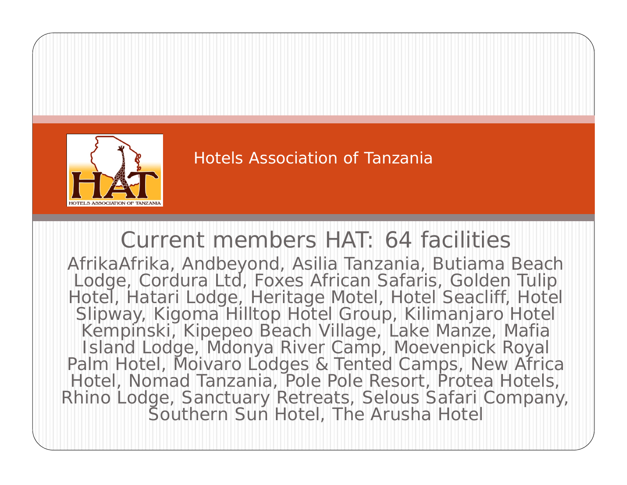

# Current members HAT: 64 facilities

AfrikaAfrika, Andbeyond, Asilia Tanzania, Butiama Beach Lodge, Cordura Ltd, Foxes African Safaris, Golden Tulip Hotel, Hatari Lodge, Heritage Motel, Hotel Seacliff, Hotel Slipway, Kigoma Hilltop Hotel Group, Kilimanjaro Hotel Kempinski, Kipepeo Beach Village, Lake Manze, Mafia Island Lodge, Mdonya River Camp, Moevenpick Royal Palm Hotel, Moivaro Lodges & Tented Camps, New Africa Hotel, Nomad Tanzania, Pole Pole Resort, Protea Hotels, Rhino Lodge, Sanctuary Retreats, Selous Safari Company, Southern Sun Hotel, The Arusha Hotel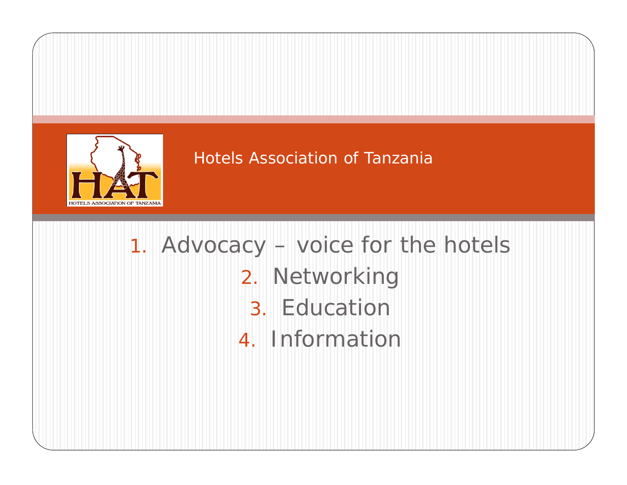

# 1. Advocacy – voice for the hotels 2. Networking 3. Education4. Information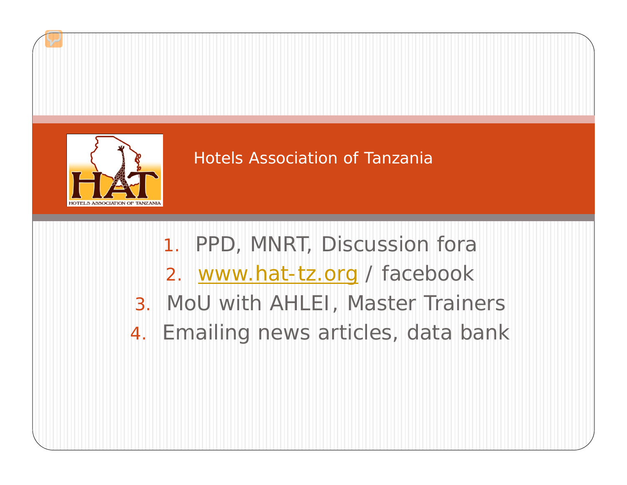

- 1. PPD, MNRT, Discussion fora
- 2. [www.hat-tz.org](http://www.hat-tz.org/) / facebook
- 3. MoU with AHLEI, Master Trainers
- 4.Emailing news articles, data bank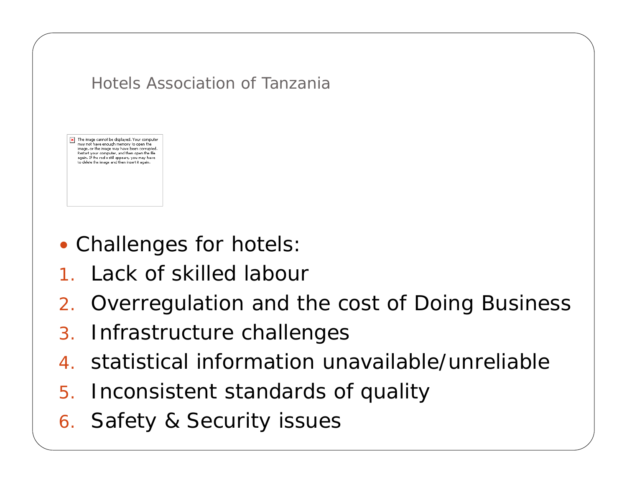

- Challenges for hotels:
- 1. Lack of skilled labour
- 2. Overregulation and the cost of Doing Business
- 3.Infrastructure challenges
- 4.statistical information unavailable/unreliable
- 5. Inconsistent standards of quality
- 6. Safety & Security issues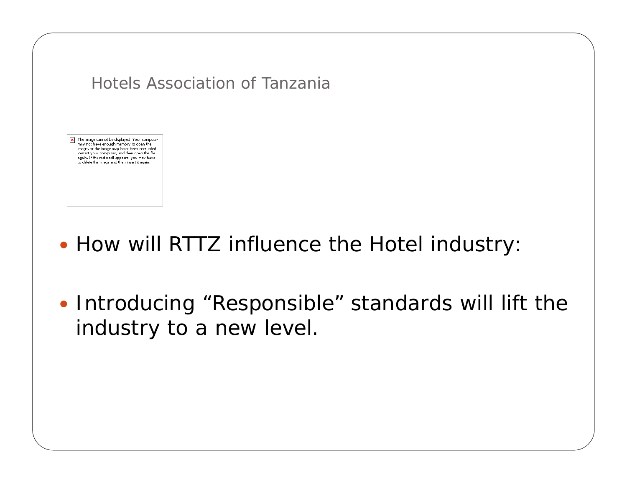X The image cannot be displayed. Your computer may not have enough memory to open the image, or the image may have been corrupted. Restart your computer, and then open the file again. If the red x still appears, you may have to delete the image and then insert it again.

- How will RTTZ influence the Hotel industry:
- Introducing "Responsible" standards will lift the industry to a new level.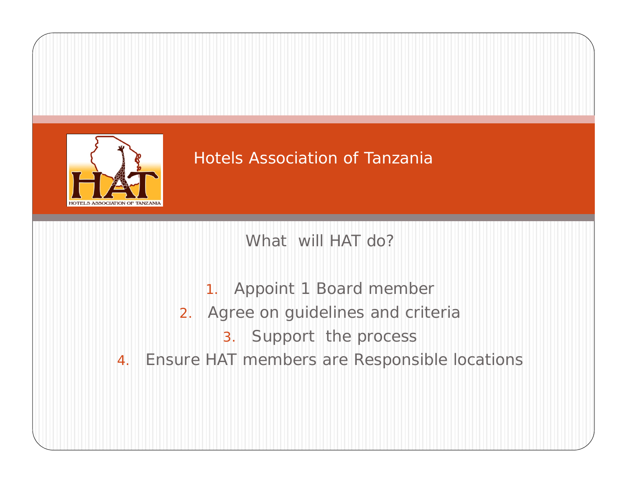

What will HAT do?

- 1. Appoint 1 Board member
- 2. Agree on guidelines and criteria
	- 3. Support the process
- 4. Ensure HAT members are Responsible locations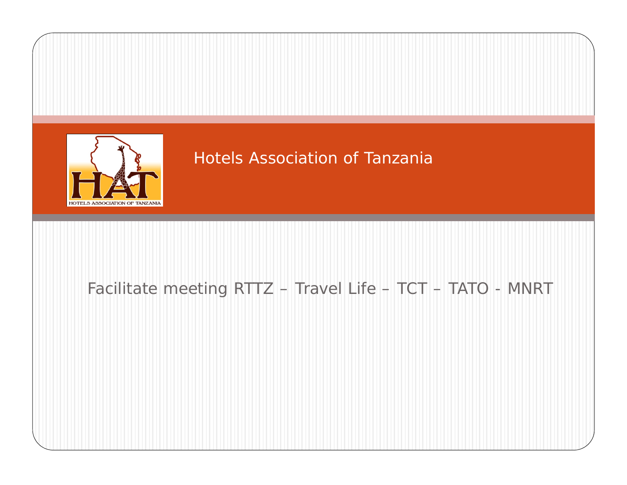

# Facilitate meeting RTTZ – Travel Life – TCT – TATO - MNRT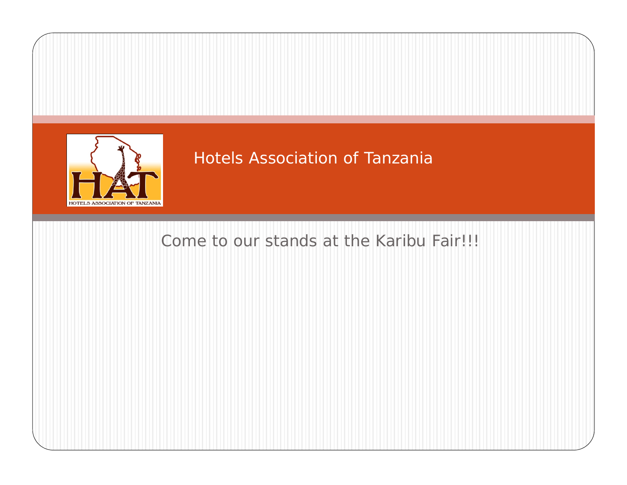

# Come to our stands at the Karibu Fair!!!